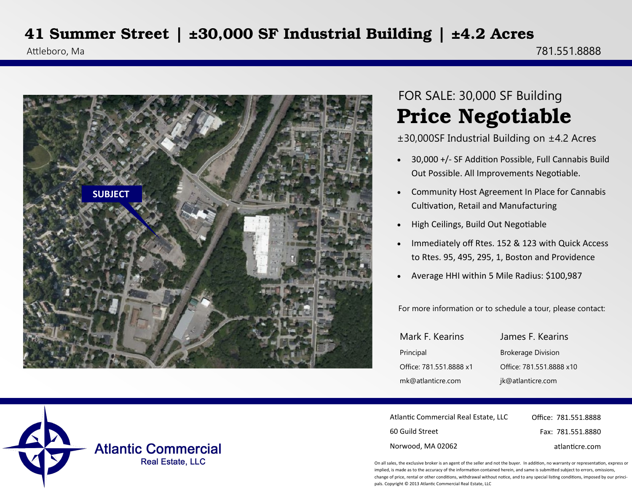## **41 Summer Street | ±30,000 SF Industrial Building | ±4.2 Acres**



## **Price Negotiable** FOR SALE: 30,000 SF Building

±30,000SF Industrial Building on ±4.2 Acres

- 30,000 +/- SF Addition Possible, Full Cannabis Build Out Possible. All Improvements Negotiable.
- Community Host Agreement In Place for Cannabis Cultivation, Retail and Manufacturing
- High Ceilings, Build Out Negotiable
- Immediately off Rtes. 152 & 123 with Quick Access to Rtes. 95, 495, 295, 1, Boston and Providence
- Average HHI within 5 Mile Radius: \$100,987

For more information or to schedule a tour, please contact:

| Mark F. Kearins         | James F. Kearins          |
|-------------------------|---------------------------|
| Principal               | <b>Brokerage Division</b> |
| Office: 781.551.8888 x1 | Office: 781.551.8888 x10  |
| mk@atlanticre.com       | jk@atlanticre.com         |

| Atlantic Commercial Real Estate. LLC | Office: 781.551.8888 |
|--------------------------------------|----------------------|
| 60 Guild Street                      | Fax: 781.551.8880    |
| Norwood, MA 02062                    | atlanticre.com       |

On all sales, the exclusive broker is an agent of the seller and not the buyer. In addition, no warranty or representation, express or implied, is made as to the accuracy of the information contained herein, and same is submitted subject to errors, omissions, change of price, rental or other conditions, withdrawal without notice, and to any special listing conditions, imposed by our principals. Copyright © 2013 Atlantic Commercial Real Estate, LLC